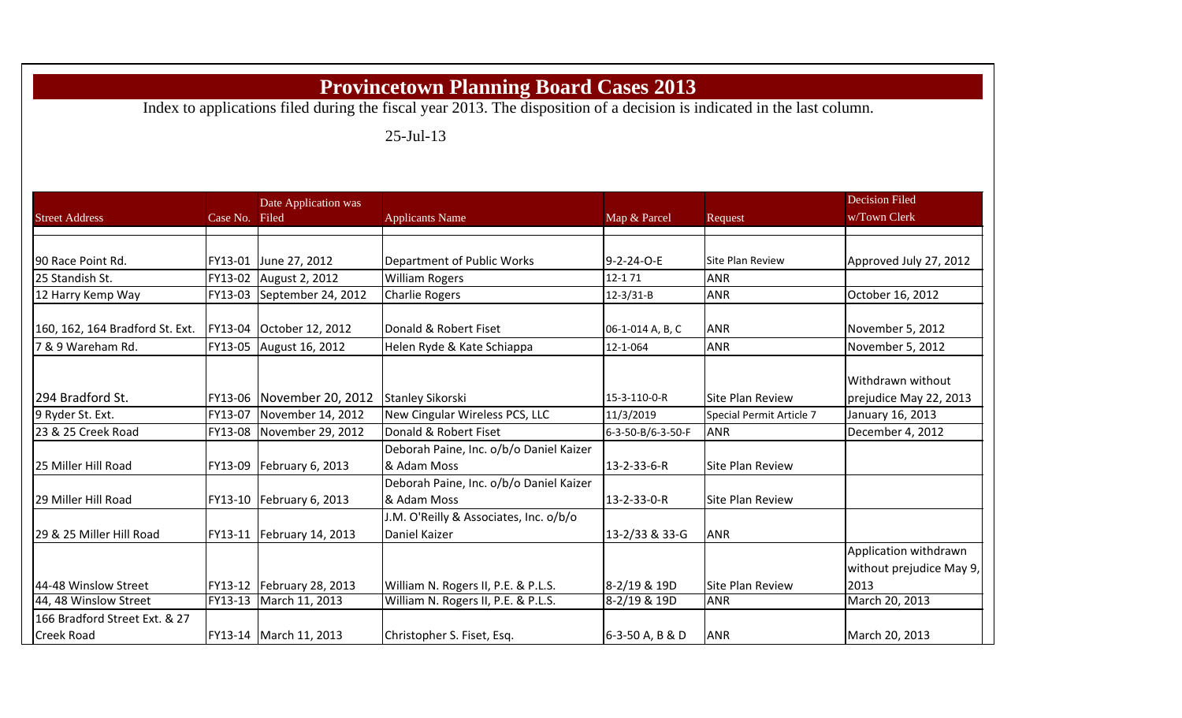## **Provincetown Planning Board Cases 2013**

Index to applications filed during the fiscal year 2013. The disposition of a decision is indicated in the last column.

25-Jul-13

|                                 |                | Date Application was        |                                                         |                   |                          | <b>Decision Filed</b>                                     |
|---------------------------------|----------------|-----------------------------|---------------------------------------------------------|-------------------|--------------------------|-----------------------------------------------------------|
| <b>Street Address</b>           | Case No. Filed |                             | <b>Applicants Name</b>                                  | Map & Parcel      | Request                  | w/Town Clerk                                              |
|                                 |                |                             |                                                         |                   |                          |                                                           |
| 90 Race Point Rd.               |                | FY13-01 June 27, 2012       | Department of Public Works                              | 9-2-24-O-E        | Site Plan Review         | Approved July 27, 2012                                    |
| 25 Standish St.                 | FY13-02        | August 2, 2012              | <b>William Rogers</b>                                   | 12-171            | <b>ANR</b>               |                                                           |
| 12 Harry Kemp Way               |                | FY13-03 September 24, 2012  | <b>Charlie Rogers</b>                                   | $12-3/31-B$       | <b>ANR</b>               | October 16, 2012                                          |
| 160, 162, 164 Bradford St. Ext. |                | FY13-04 October 12, 2012    | Donald & Robert Fiset                                   | 06-1-014 A, B, C  | <b>ANR</b>               | November 5, 2012                                          |
| 7 & 9 Wareham Rd.               | FY13-05        | August 16, 2012             | Helen Ryde & Kate Schiappa                              | 12-1-064          | ANR                      | November 5, 2012                                          |
| 294 Bradford St.                |                | FY13-06 November 20, 2012   | Stanley Sikorski                                        | 15-3-110-0-R      | <b>Site Plan Review</b>  | Withdrawn without<br>prejudice May 22, 2013               |
| 9 Ryder St. Ext.                | FY13-07        | November 14, 2012           | New Cingular Wireless PCS, LLC                          | 11/3/2019         | Special Permit Article 7 | January 16, 2013                                          |
| 23 & 25 Creek Road              |                | FY13-08 November 29, 2012   | Donald & Robert Fiset                                   | 6-3-50-B/6-3-50-F | <b>ANR</b>               | December 4, 2012                                          |
| 25 Miller Hill Road             |                | FY13-09   February 6, 2013  | Deborah Paine, Inc. o/b/o Daniel Kaizer<br>& Adam Moss  | 13-2-33-6-R       | <b>Site Plan Review</b>  |                                                           |
| 29 Miller Hill Road             |                | FY13-10   February 6, 2013  | Deborah Paine, Inc. o/b/o Daniel Kaizer<br>& Adam Moss  | 13-2-33-0-R       | Site Plan Review         |                                                           |
| 29 & 25 Miller Hill Road        |                | FY13-11   February 14, 2013 | J.M. O'Reilly & Associates, Inc. o/b/o<br>Daniel Kaizer | 13-2/33 & 33-G    | <b>ANR</b>               |                                                           |
| 44-48 Winslow Street            |                | FY13-12 February 28, 2013   | William N. Rogers II, P.E. & P.L.S.                     | 8-2/19 & 19D      | <b>Site Plan Review</b>  | Application withdrawn<br>without prejudice May 9,<br>2013 |
| 44, 48 Winslow Street           |                | FY13-13 March 11, 2013      | William N. Rogers II, P.E. & P.L.S.                     | 8-2/19 & 19D      | <b>ANR</b>               | March 20, 2013                                            |
| 166 Bradford Street Ext. & 27   |                |                             |                                                         |                   |                          |                                                           |
| <b>Creek Road</b>               |                | FY13-14   March 11, 2013    | Christopher S. Fiset, Esq.                              | 6-3-50 A, B & D   | <b>ANR</b>               | March 20, 2013                                            |